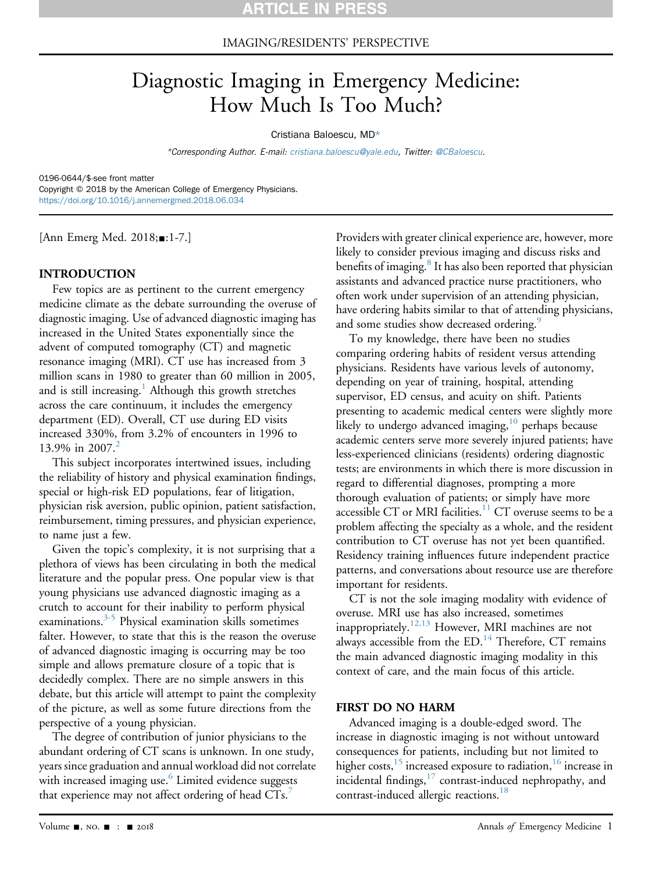### IMAGING/RESIDENTS' PERSPECTIVE

# Diagnostic Imaging in Emergency Medicine: How Much Is Too Much?

#### Cristiana Baloescu, MD\*

\*Corresponding Author. E-mail: [cristiana.baloescu@yale.edu](mailto:cristiana.baloescu@yale.edu), Twitter: [@CBaloescu.](https://twitter.com/CBaloescu)

0196-0644/\$-see front matter Copyright © 2018 by the American College of Emergency Physicians. <https://doi.org/10.1016/j.annemergmed.2018.06.034>

[Ann Emerg Med. 2018;■:1-7.]

### INTRODUCTION

Few topics are as pertinent to the current emergency medicine climate as the debate surrounding the overuse of diagnostic imaging. Use of advanced diagnostic imaging has increased in the United States exponentially since the advent of computed tomography (CT) and magnetic resonance imaging (MRI). CT use has increased from 3 million scans in 1980 to greater than 60 million in 2005, and is still increasing.<sup>[1](#page-4-0)</sup> Although this growth stretches across the care continuum, it includes the emergency department (ED). Overall, CT use during ED visits increased 330%, from 3.2% of encounters in 1996 to 13.9% in [2](#page-4-1)007.<sup>2</sup>

This subject incorporates intertwined issues, including the reliability of history and physical examination findings, special or high-risk ED populations, fear of litigation, physician risk aversion, public opinion, patient satisfaction, reimbursement, timing pressures, and physician experience, to name just a few.

Given the topic's complexity, it is not surprising that a plethora of views has been circulating in both the medical literature and the popular press. One popular view is that young physicians use advanced diagnostic imaging as a crutch to account for their inability to perform physical examinations. $3-5$  Physical examination skills sometimes falter. However, to state that this is the reason the overuse of advanced diagnostic imaging is occurring may be too simple and allows premature closure of a topic that is decidedly complex. There are no simple answers in this debate, but this article will attempt to paint the complexity of the picture, as well as some future directions from the perspective of a young physician.

The degree of contribution of junior physicians to the abundant ordering of CT scans is unknown. In one study, years since graduation and annual workload did not correlate with increased imaging use.<sup>6</sup> Limited evidence suggests that experience may not affect ordering of head  $CTs$ .

Providers with greater clinical experience are, however, more likely to consider previous imaging and discuss risks and benefits of imaging.<sup>8</sup> It has also been reported that physician assistants and advanced practice nurse practitioners, who often work under supervision of an attending physician, have ordering habits similar to that of attending physicians, and some studies show decreased ordering.<sup>[9](#page-4-6)</sup>

To my knowledge, there have been no studies comparing ordering habits of resident versus attending physicians. Residents have various levels of autonomy, depending on year of training, hospital, attending supervisor, ED census, and acuity on shift. Patients presenting to academic medical centers were slightly more likely to undergo advanced imaging, $10$  perhaps because academic centers serve more severely injured patients; have less-experienced clinicians (residents) ordering diagnostic tests; are environments in which there is more discussion in regard to differential diagnoses, prompting a more thorough evaluation of patients; or simply have more accessible CT or MRI facilities.<sup>11</sup> CT overuse seems to be a problem affecting the specialty as a whole, and the resident contribution to CT overuse has not yet been quantified. Residency training influences future independent practice patterns, and conversations about resource use are therefore important for residents.

CT is not the sole imaging modality with evidence of overuse. MRI use has also increased, sometimes inappropriately.<sup>[12,13](#page-4-9)</sup> However, MRI machines are not always accessible from the  $ED.^{14}$  $ED.^{14}$  $ED.^{14}$  Therefore, CT remains the main advanced diagnostic imaging modality in this context of care, and the main focus of this article.

### FIRST DO NO HARM

Advanced imaging is a double-edged sword. The increase in diagnostic imaging is not without untoward consequences for patients, including but not limited to higher costs,<sup>15</sup> increased exposure to radiation,<sup>16</sup> increase in incidental findings, $17$  contrast-induced nephropathy, and contrast-induced allergic reactions.<sup>[18](#page-5-4)</sup>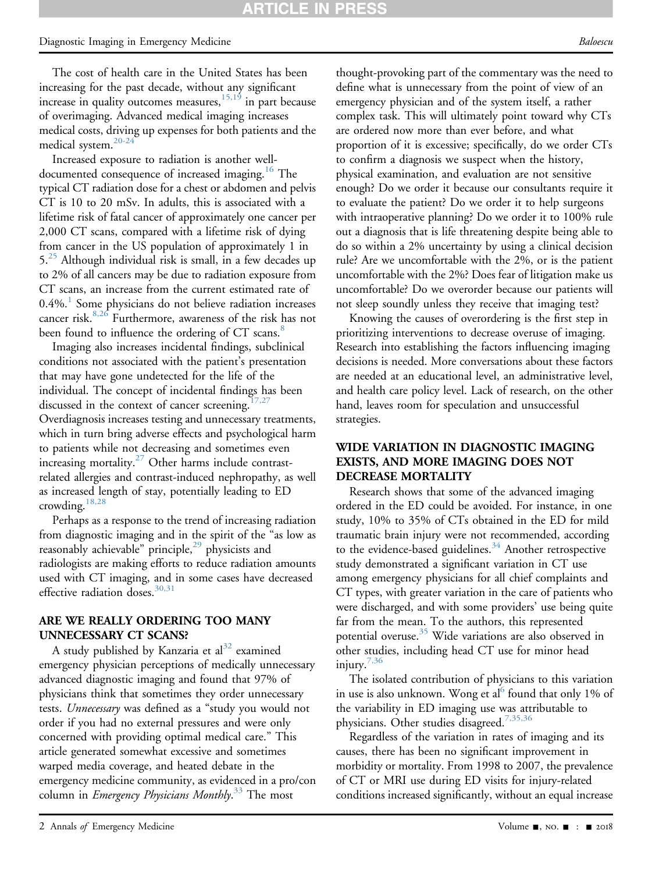## **ARTICLE IN**

#### Diagnostic Imaging in Emergency Medicine Baloescu et al. and the Baloescu et al. Baloescu Baloescu Baloescu

The cost of health care in the United States has been increasing for the past decade, without any significant increase in quality outcomes measures,  $15,19$  in part because of overimaging. Advanced medical imaging increases medical costs, driving up expenses for both patients and the medical system.[20-24](#page-5-5)

Increased exposure to radiation is another well-documented consequence of increased imaging.<sup>[16](#page-5-2)</sup> The typical CT radiation dose for a chest or abdomen and pelvis CT is 10 to 20 mSv. In adults, this is associated with a lifetime risk of fatal cancer of approximately one cancer per 2,000 CT scans, compared with a lifetime risk of dying from cancer in the US population of approximately 1 in  $5<sup>25</sup>$  $5<sup>25</sup>$  $5<sup>25</sup>$  Although individual risk is small, in a few decades up to 2% of all cancers may be due to radiation exposure from CT scans, an increase from the current estimated rate of  $0.4\%$ .<sup>[1](#page-4-0)</sup> Some physicians do not believe radiation increases cancer risk. $8,26$  Furthermore, awareness of the risk has not been found to influence the ordering of CT scans.<sup>[8](#page-4-5)</sup>

Imaging also increases incidental findings, subclinical conditions not associated with the patient's presentation that may have gone undetected for the life of the individual. The concept of incidental findings has been discussed in the context of cancer screening.<sup>[17,27](#page-5-3)</sup> Overdiagnosis increases testing and unnecessary treatments, which in turn bring adverse effects and psychological harm to patients while not decreasing and sometimes even increasing mortality. $2^{7}$  Other harms include contrastrelated allergies and contrast-induced nephropathy, as well as increased length of stay, potentially leading to ED crowding.[18,28](#page-5-4)

Perhaps as a response to the trend of increasing radiation from diagnostic imaging and in the spirit of the "as low as reasonably achievable" principle,<sup>[29](#page-5-8)</sup> physicists and radiologists are making efforts to reduce radiation amounts used with CT imaging, and in some cases have decreased effective radiation doses.  $30,31$ 

#### ARE WE REALLY ORDERING TOO MANY UNNECESSARY CT SCANS?

A study published by Kanzaria et  $al<sup>32</sup>$  $al<sup>32</sup>$  $al<sup>32</sup>$  examined emergency physician perceptions of medically unnecessary advanced diagnostic imaging and found that 97% of physicians think that sometimes they order unnecessary tests. Unnecessary was defined as a "study you would not order if you had no external pressures and were only concerned with providing optimal medical care." This article generated somewhat excessive and sometimes warped media coverage, and heated debate in the emergency medicine community, as evidenced in a pro/con column in *Emergency Physicians Monthly*.<sup>[33](#page-5-11)</sup> The most

thought-provoking part of the commentary was the need to define what is unnecessary from the point of view of an emergency physician and of the system itself, a rather complex task. This will ultimately point toward why CTs are ordered now more than ever before, and what proportion of it is excessive; specifically, do we order CTs to confirm a diagnosis we suspect when the history, physical examination, and evaluation are not sensitive enough? Do we order it because our consultants require it to evaluate the patient? Do we order it to help surgeons with intraoperative planning? Do we order it to 100% rule out a diagnosis that is life threatening despite being able to do so within a 2% uncertainty by using a clinical decision rule? Are we uncomfortable with the 2%, or is the patient uncomfortable with the 2%? Does fear of litigation make us uncomfortable? Do we overorder because our patients will not sleep soundly unless they receive that imaging test?

Knowing the causes of overordering is the first step in prioritizing interventions to decrease overuse of imaging. Research into establishing the factors influencing imaging decisions is needed. More conversations about these factors are needed at an educational level, an administrative level, and health care policy level. Lack of research, on the other hand, leaves room for speculation and unsuccessful strategies.

### WIDE VARIATION IN DIAGNOSTIC IMAGING EXISTS, AND MORE IMAGING DOES NOT DECREASE MORTALITY

Research shows that some of the advanced imaging ordered in the ED could be avoided. For instance, in one study, 10% to 35% of CTs obtained in the ED for mild traumatic brain injury were not recommended, according to the evidence-based guidelines.<sup>34</sup> Another retrospective study demonstrated a significant variation in CT use among emergency physicians for all chief complaints and CT types, with greater variation in the care of patients who were discharged, and with some providers' use being quite far from the mean. To the authors, this represented potential overuse.<sup>35</sup> Wide variations are also observed in other studies, including head CT use for minor head injury[.7,36](#page-4-4)

The isolated contribution of physicians to this variation in use is also unknown. Wong et al<sup>[6](#page-4-3)</sup> found that only 1% of the variability in ED imaging use was attributable to physicians. Other studies disagreed.<sup>[7,35,36](#page-4-4)</sup>

Regardless of the variation in rates of imaging and its causes, there has been no significant improvement in morbidity or mortality. From 1998 to 2007, the prevalence of CT or MRI use during ED visits for injury-related conditions increased significantly, without an equal increase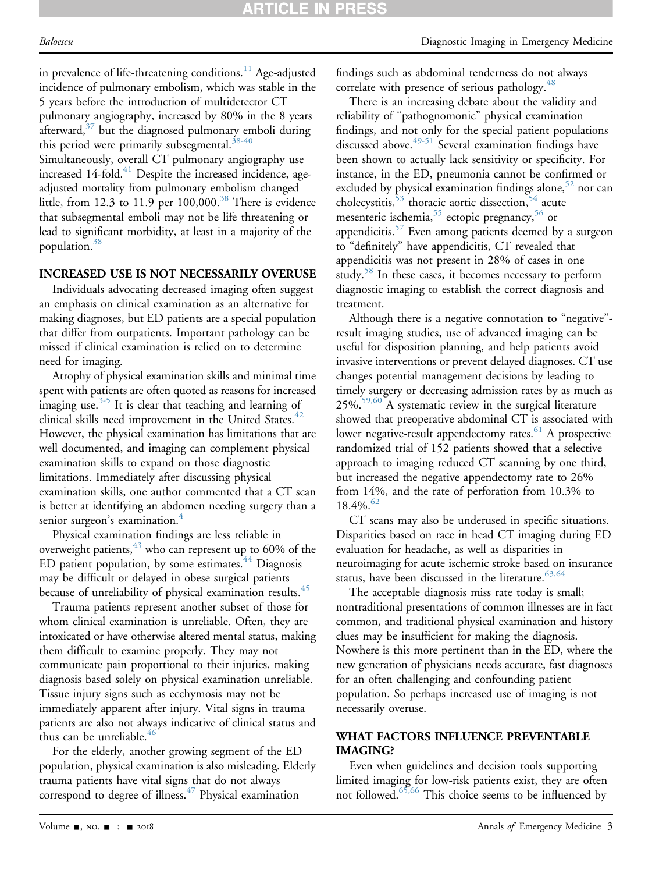in prevalence of life-threatening conditions.<sup>11</sup> Age-adjusted incidence of pulmonary embolism, which was stable in the 5 years before the introduction of multidetector CT pulmonary angiography, increased by 80% in the 8 years afterward, $37$  but the diagnosed pulmonary emboli during this period were primarily subsegmental.<sup>[38-40](#page-5-15)</sup> Simultaneously, overall CT pulmonary angiography use

increased 14-fold. $41$  Despite the increased incidence, ageadjusted mortality from pulmonary embolism changed little, from 12.3 to 11.9 per  $100,000$ .<sup>38</sup> There is evidence that subsegmental emboli may not be life threatening or lead to significant morbidity, at least in a majority of the population.<sup>38</sup>

### INCREASED USE IS NOT NECESSARILY OVERUSE

Individuals advocating decreased imaging often suggest an emphasis on clinical examination as an alternative for making diagnoses, but ED patients are a special population that differ from outpatients. Important pathology can be missed if clinical examination is relied on to determine need for imaging.

Atrophy of physical examination skills and minimal time spent with patients are often quoted as reasons for increased imaging use. $3-5$  It is clear that teaching and learning of clinical skills need improvement in the United States. $42$ However, the physical examination has limitations that are well documented, and imaging can complement physical examination skills to expand on those diagnostic limitations. Immediately after discussing physical examination skills, one author commented that a CT scan is better at identifying an abdomen needing surgery than a senior surgeon's examination.<sup>[4](#page-4-10)</sup>

Physical examination findings are less reliable in overweight patients,  $43$  who can represent up to 60% of the ED patient population, by some estimates.<sup>[44](#page-5-19)</sup> Diagnosis may be difficult or delayed in obese surgical patients because of unreliability of physical examination results.<sup>[45](#page-5-20)</sup>

Trauma patients represent another subset of those for whom clinical examination is unreliable. Often, they are intoxicated or have otherwise altered mental status, making them difficult to examine properly. They may not communicate pain proportional to their injuries, making diagnosis based solely on physical examination unreliable. Tissue injury signs such as ecchymosis may not be immediately apparent after injury. Vital signs in trauma patients are also not always indicative of clinical status and thus can be unreliable. $46$ 

For the elderly, another growing segment of the ED population, physical examination is also misleading. Elderly trauma patients have vital signs that do not always correspond to degree of illness. $47$  Physical examination

findings such as abdominal tenderness do not always correlate with presence of serious pathology.<sup>48</sup>

There is an increasing debate about the validity and reliability of "pathognomonic" physical examination findings, and not only for the special patient populations discussed above.<sup>[49-51](#page-5-24)</sup> Several examination findings have been shown to actually lack sensitivity or specificity. For instance, in the ED, pneumonia cannot be confirmed or excluded by physical examination findings alone, $52$  nor can cholecystitis,<sup>[53](#page-5-26)</sup> thoracic aortic dissection,<sup>54</sup> acute mesenteric ischemia,  $55$  ectopic pregnancy,  $56$  or appendicitis.<sup>57</sup> Even among patients deemed by a surgeon to "definitely" have appendicitis, CT revealed that appendicitis was not present in 28% of cases in one study.<sup>[58](#page-5-31)</sup> In these cases, it becomes necessary to perform diagnostic imaging to establish the correct diagnosis and treatment.

Although there is a negative connotation to "negative" result imaging studies, use of advanced imaging can be useful for disposition planning, and help patients avoid invasive interventions or prevent delayed diagnoses. CT use changes potential management decisions by leading to timely surgery or decreasing admission rates by as much as 25%[.59,60](#page-5-32) A systematic review in the surgical literature showed that preoperative abdominal CT is associated with lower negative-result appendectomy rates.  $61$  A prospective randomized trial of 152 patients showed that a selective approach to imaging reduced CT scanning by one third, but increased the negative appendectomy rate to 26% from 14%, and the rate of perforation from 10.3% to  $18.4\%$ .  $62$ 

CT scans may also be underused in specific situations. Disparities based on race in head CT imaging during ED evaluation for headache, as well as disparities in neuroimaging for acute ischemic stroke based on insurance status, have been discussed in the literature.  $63,64$ 

The acceptable diagnosis miss rate today is small; nontraditional presentations of common illnesses are in fact common, and traditional physical examination and history clues may be insufficient for making the diagnosis. Nowhere is this more pertinent than in the ED, where the new generation of physicians needs accurate, fast diagnoses for an often challenging and confounding patient population. So perhaps increased use of imaging is not necessarily overuse.

### WHAT FACTORS INFLUENCE PREVENTABLE IMAGING?

Even when guidelines and decision tools supporting limited imaging for low-risk patients exist, they are often not followed.<sup>[65,66](#page-6-3)</sup> This choice seems to be influenced by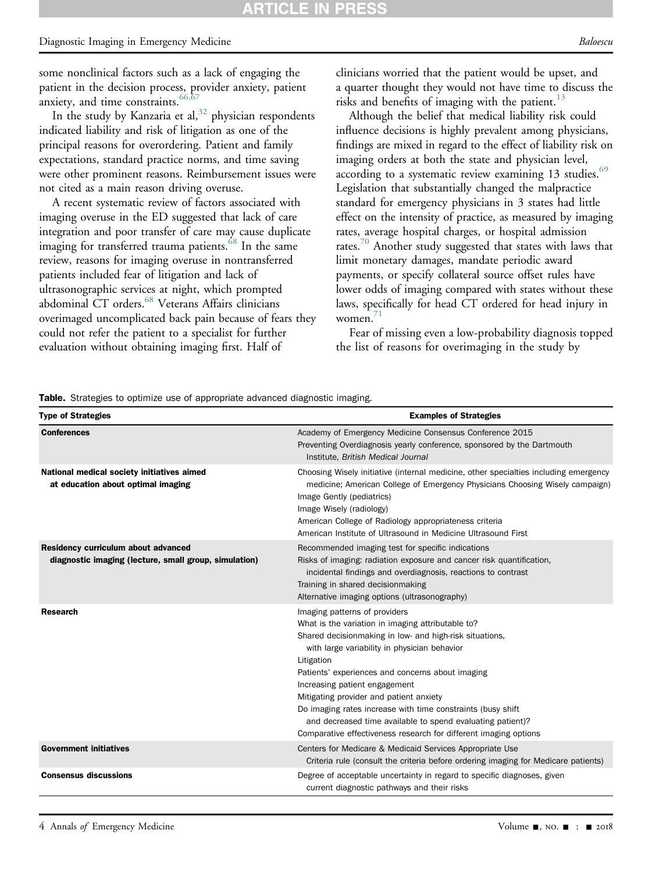# RTICLE IN

#### Diagnostic Imaging in Emergency Medicine Baloescu et al. and the Baloescu et al. Baloescu Baloescu Baloescu

some nonclinical factors such as a lack of engaging the patient in the decision process, provider anxiety, patient anxiety, and time constraints.  $66,67$ 

In the study by Kanzaria et al,  $32$  physician respondents indicated liability and risk of litigation as one of the principal reasons for overordering. Patient and family expectations, standard practice norms, and time saving were other prominent reasons. Reimbursement issues were not cited as a main reason driving overuse.

A recent systematic review of factors associated with imaging overuse in the ED suggested that lack of care integration and poor transfer of care may cause duplicate imaging for transferred trauma patients.<sup>[68](#page-6-5)</sup> In the same review, reasons for imaging overuse in nontransferred patients included fear of litigation and lack of ultrasonographic services at night, which prompted abdominal CT orders.<sup>[68](#page-6-5)</sup> Veterans Affairs clinicians overimaged uncomplicated back pain because of fears they could not refer the patient to a specialist for further evaluation without obtaining imaging first. Half of

clinicians worried that the patient would be upset, and a quarter thought they would not have time to discuss the risks and benefits of imaging with the patient. $13$ 

Although the belief that medical liability risk could influence decisions is highly prevalent among physicians, findings are mixed in regard to the effect of liability risk on imaging orders at both the state and physician level, according to a systematic review examining 13 studies.<sup>[69](#page-6-6)</sup> Legislation that substantially changed the malpractice standard for emergency physicians in 3 states had little effect on the intensity of practice, as measured by imaging rates, average hospital charges, or hospital admission rates. $70$  Another study suggested that states with laws that limit monetary damages, mandate periodic award payments, or specify collateral source offset rules have lower odds of imaging compared with states without these laws, specifically for head CT ordered for head injury in women. $\frac{71}{1}$ 

Fear of missing even a low-probability diagnosis topped the list of reasons for overimaging in the study by

<span id="page-3-0"></span>**Table.** Strategies to optimize use of appropriate advanced diagnostic imaging.

| <b>Type of Strategies</b>                                                                    | <b>Examples of Strategies</b>                                                                                                                                                                                                                                                                                                                                                                                                                                                                                                                 |
|----------------------------------------------------------------------------------------------|-----------------------------------------------------------------------------------------------------------------------------------------------------------------------------------------------------------------------------------------------------------------------------------------------------------------------------------------------------------------------------------------------------------------------------------------------------------------------------------------------------------------------------------------------|
| <b>Conferences</b>                                                                           | Academy of Emergency Medicine Consensus Conference 2015<br>Preventing Overdiagnosis yearly conference, sponsored by the Dartmouth<br>Institute, British Medical Journal                                                                                                                                                                                                                                                                                                                                                                       |
| National medical society initiatives aimed<br>at education about optimal imaging             | Choosing Wisely initiative (internal medicine, other specialties including emergency<br>medicine; American College of Emergency Physicians Choosing Wisely campaign)<br>Image Gently (pediatrics)<br>Image Wisely (radiology)<br>American College of Radiology appropriateness criteria<br>American Institute of Ultrasound in Medicine Ultrasound First                                                                                                                                                                                      |
| Residency curriculum about advanced<br>diagnostic imaging (lecture, small group, simulation) | Recommended imaging test for specific indications<br>Risks of imaging: radiation exposure and cancer risk quantification,<br>incidental findings and overdiagnosis, reactions to contrast<br>Training in shared decisionmaking<br>Alternative imaging options (ultrasonography)                                                                                                                                                                                                                                                               |
| Research                                                                                     | Imaging patterns of providers<br>What is the variation in imaging attributable to?<br>Shared decisionmaking in low- and high-risk situations,<br>with large variability in physician behavior<br>Litigation<br>Patients' experiences and concerns about imaging<br>Increasing patient engagement<br>Mitigating provider and patient anxiety<br>Do imaging rates increase with time constraints (busy shift)<br>and decreased time available to spend evaluating patient)?<br>Comparative effectiveness research for different imaging options |
| <b>Government initiatives</b>                                                                | Centers for Medicare & Medicaid Services Appropriate Use<br>Criteria rule (consult the criteria before ordering imaging for Medicare patients)                                                                                                                                                                                                                                                                                                                                                                                                |
| <b>Consensus discussions</b>                                                                 | Degree of acceptable uncertainty in regard to specific diagnoses, given<br>current diagnostic pathways and their risks                                                                                                                                                                                                                                                                                                                                                                                                                        |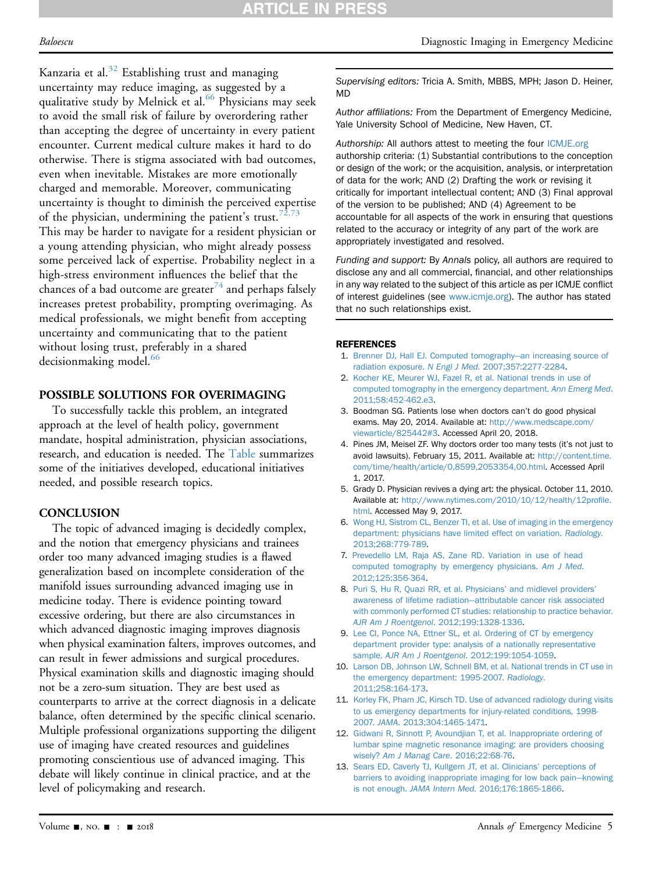# **ARTICLE IN PRESS**

Kanzaria et al.<sup>[32](#page-5-10)</sup> Establishing trust and managing uncertainty may reduce imaging, as suggested by a qualitative study by Melnick et al.<sup>[66](#page-6-4)</sup> Physicians may seek to avoid the small risk of failure by overordering rather than accepting the degree of uncertainty in every patient encounter. Current medical culture makes it hard to do otherwise. There is stigma associated with bad outcomes, even when inevitable. Mistakes are more emotionally charged and memorable. Moreover, communicating uncertainty is thought to diminish the perceived expertise of the physician, undermining the patient's trust.  $72,73$ This may be harder to navigate for a resident physician or a young attending physician, who might already possess some perceived lack of expertise. Probability neglect in a high-stress environment influences the belief that the chances of a bad outcome are greater $74$  and perhaps falsely increases pretest probability, prompting overimaging. As medical professionals, we might benefit from accepting uncertainty and communicating that to the patient without losing trust, preferably in a shared decisionmaking model.<sup>[66](#page-6-4)</sup>

### POSSIBLE SOLUTIONS FOR OVERIMAGING

To successfully tackle this problem, an integrated approach at the level of health policy, government mandate, hospital administration, physician associations, research, and education is needed. The [Table](#page-3-0) summarizes some of the initiatives developed, educational initiatives needed, and possible research topics.

### **CONCLUSION**

The topic of advanced imaging is decidedly complex, and the notion that emergency physicians and trainees order too many advanced imaging studies is a flawed generalization based on incomplete consideration of the manifold issues surrounding advanced imaging use in medicine today. There is evidence pointing toward excessive ordering, but there are also circumstances in which advanced diagnostic imaging improves diagnosis when physical examination falters, improves outcomes, and can result in fewer admissions and surgical procedures. Physical examination skills and diagnostic imaging should not be a zero-sum situation. They are best used as counterparts to arrive at the correct diagnosis in a delicate balance, often determined by the specific clinical scenario. Multiple professional organizations supporting the diligent use of imaging have created resources and guidelines promoting conscientious use of advanced imaging. This debate will likely continue in clinical practice, and at the level of policymaking and research.

Supervising editors: Tricia A. Smith, MBBS, MPH; Jason D. Heiner, MD

Author affiliations: From the Department of Emergency Medicine, Yale University School of Medicine, New Haven, CT.

Authorship: All authors attest to meeting the four [ICMJE.org](http://ICMJE.org) authorship criteria: (1) Substantial contributions to the conception or design of the work; or the acquisition, analysis, or interpretation of data for the work; AND (2) Drafting the work or revising it critically for important intellectual content; AND (3) Final approval of the version to be published; AND (4) Agreement to be accountable for all aspects of the work in ensuring that questions related to the accuracy or integrity of any part of the work are appropriately investigated and resolved.

Funding and support: By Annals policy, all authors are required to disclose any and all commercial, financial, and other relationships in any way related to the subject of this article as per ICMJE conflict of interest guidelines (see [www.icmje.org\)](http://www.icmje.org/). The author has stated that no such relationships exist.

#### <span id="page-4-0"></span>REFERENCES

- <span id="page-4-1"></span>1. [Brenner DJ, Hall EJ. Computed tomography](http://refhub.elsevier.com/S0196-0644(18)30565-1/sref1)—[an increasing source of](http://refhub.elsevier.com/S0196-0644(18)30565-1/sref1) radiation exposure. N Engl J Med[. 2007;357:2277-2284](http://refhub.elsevier.com/S0196-0644(18)30565-1/sref1).
- 2. [Kocher KE, Meurer WJ, Fazel R, et al. National trends in use of](http://refhub.elsevier.com/S0196-0644(18)30565-1/sref2) [computed tomography in the emergency department.](http://refhub.elsevier.com/S0196-0644(18)30565-1/sref2) Ann Emerg Med. [2011;58:452-462.e3.](http://refhub.elsevier.com/S0196-0644(18)30565-1/sref2)
- <span id="page-4-2"></span>3. Boodman SG. Patients lose when doctors can't do good physical exams. May 20, 2014. Available at: [http://www.medscape.com/](http://www.medscape.com/viewarticle/825442#3) [viewarticle/825442#3.](http://www.medscape.com/viewarticle/825442#3) Accessed April 20, 2018.
- <span id="page-4-10"></span>4. Pines JM, Meisel ZF. Why doctors order too many tests (it's not just to avoid lawsuits). February 15, 2011. Available at: [http://content.time.](http://content.time.com/time/health/article/0,8599,2053354,00.html) [com/time/health/article/0,8599,2053354,00.html](http://content.time.com/time/health/article/0,8599,2053354,00.html). Accessed April 1, 2017.
- 5. Grady D. Physician revives a dying art: the physical. October 11, 2010. Available at: [http://www.nytimes.com/2010/10/12/health/12pro](http://www.nytimes.com/2010/10/12/health/12profile.html)file. [html.](http://www.nytimes.com/2010/10/12/health/12profile.html) Accessed May 9, 2017.
- <span id="page-4-3"></span>6. [Wong HJ, Sistrom CL, Benzer TI, et al. Use of imaging in the emergency](http://refhub.elsevier.com/S0196-0644(18)30565-1/sref6) [department: physicians have limited effect on variation.](http://refhub.elsevier.com/S0196-0644(18)30565-1/sref6) Radiology. [2013;268:779-789.](http://refhub.elsevier.com/S0196-0644(18)30565-1/sref6)
- <span id="page-4-4"></span>7. [Prevedello LM, Raja AS, Zane RD. Variation in use of head](http://refhub.elsevier.com/S0196-0644(18)30565-1/sref7) [computed tomography by emergency physicians.](http://refhub.elsevier.com/S0196-0644(18)30565-1/sref7) Am J Med. [2012;125:356-364](http://refhub.elsevier.com/S0196-0644(18)30565-1/sref7).
- <span id="page-4-5"></span>8. [Puri S, Hu R, Quazi RR, et al. Physicians](http://refhub.elsevier.com/S0196-0644(18)30565-1/sref8)' and midlevel providers' [awareness of lifetime radiation](http://refhub.elsevier.com/S0196-0644(18)30565-1/sref8)—[attributable cancer risk associated](http://refhub.elsevier.com/S0196-0644(18)30565-1/sref8) [with commonly performed CT studies: relationship to practice behavior.](http://refhub.elsevier.com/S0196-0644(18)30565-1/sref8) AJR Am J Roentgenol[. 2012;199:1328-1336.](http://refhub.elsevier.com/S0196-0644(18)30565-1/sref8)
- <span id="page-4-6"></span>9. [Lee CI, Ponce NA, Ettner SL, et al. Ordering of CT by emergency](http://refhub.elsevier.com/S0196-0644(18)30565-1/sref9) [department provider type: analysis of a nationally representative](http://refhub.elsevier.com/S0196-0644(18)30565-1/sref9) sample. AJR Am J Roentgenol[. 2012;199:1054-1059](http://refhub.elsevier.com/S0196-0644(18)30565-1/sref9).
- <span id="page-4-7"></span>10. [Larson DB, Johnson LW, Schnell BM, et al. National trends in CT use in](http://refhub.elsevier.com/S0196-0644(18)30565-1/sref10) [the emergency department: 1995-2007.](http://refhub.elsevier.com/S0196-0644(18)30565-1/sref10) Radiology. [2011;258:164-173](http://refhub.elsevier.com/S0196-0644(18)30565-1/sref10).
- <span id="page-4-8"></span>11. [Korley FK, Pham JC, Kirsch TD. Use of advanced radiology during visits](http://refhub.elsevier.com/S0196-0644(18)30565-1/sref11) [to us emergency departments for injury-related conditions, 1998-](http://refhub.elsevier.com/S0196-0644(18)30565-1/sref11) 2007. JAMA[. 2013;304:1465-1471.](http://refhub.elsevier.com/S0196-0644(18)30565-1/sref11)
- <span id="page-4-9"></span>12. [Gidwani R, Sinnott P, Avoundjian T, et al. Inappropriate ordering of](http://refhub.elsevier.com/S0196-0644(18)30565-1/sref12) [lumbar spine magnetic resonance imaging: are providers choosing](http://refhub.elsevier.com/S0196-0644(18)30565-1/sref12) wisely? [Am J Manag Care](http://refhub.elsevier.com/S0196-0644(18)30565-1/sref12). 2016;22:68-76.
- <span id="page-4-11"></span>13. [Sears ED, Caverly TJ, Kullgern JT, et al. Clinicians](http://refhub.elsevier.com/S0196-0644(18)30565-1/sref13)' perceptions of [barriers to avoiding inappropriate imaging for low back pain](http://refhub.elsevier.com/S0196-0644(18)30565-1/sref13)—[knowing](http://refhub.elsevier.com/S0196-0644(18)30565-1/sref13) is not enough. JAMA Intern Med[. 2016;176:1865-1866](http://refhub.elsevier.com/S0196-0644(18)30565-1/sref13).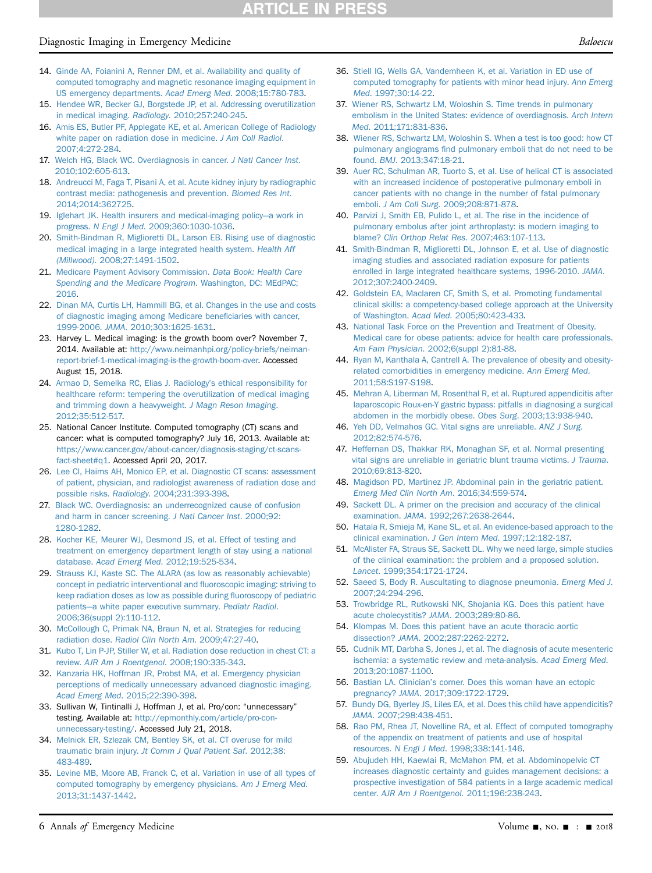# **ATICLE IN PRES**

#### Diagnostic Imaging in Emergency Medicine Baloescu et al. and the Baloescu et al. Baloescu Baloescu Baloescu

- <span id="page-5-0"></span>14. [Ginde AA, Foianini A, Renner DM, et al. Availability and quality of](http://refhub.elsevier.com/S0196-0644(18)30565-1/sref14) [computed tomography and magnetic resonance imaging equipment in](http://refhub.elsevier.com/S0196-0644(18)30565-1/sref14) [US emergency departments.](http://refhub.elsevier.com/S0196-0644(18)30565-1/sref14) Acad Emerg Med. 2008;15:780-783.
- <span id="page-5-1"></span>15. [Hendee WR, Becker GJ, Borgstede JP, et al. Addressing overutilization](http://refhub.elsevier.com/S0196-0644(18)30565-1/sref15) in medical imaging. Radiology[. 2010;257:240-245](http://refhub.elsevier.com/S0196-0644(18)30565-1/sref15).
- <span id="page-5-2"></span>16. [Amis ES, Butler PF, Applegate KE, et al. American College of Radiology](http://refhub.elsevier.com/S0196-0644(18)30565-1/sref16) [white paper on radiation dose in medicine.](http://refhub.elsevier.com/S0196-0644(18)30565-1/sref16) J Am Coll Radiol. [2007;4:272-284.](http://refhub.elsevier.com/S0196-0644(18)30565-1/sref16)
- <span id="page-5-3"></span>17. [Welch HG, Black WC. Overdiagnosis in cancer.](http://refhub.elsevier.com/S0196-0644(18)30565-1/sref17) J Natl Cancer Inst. [2010;102:605-613.](http://refhub.elsevier.com/S0196-0644(18)30565-1/sref17)
- <span id="page-5-4"></span>18. [Andreucci M, Faga T, Pisani A, et al. Acute kidney injury by radiographic](http://refhub.elsevier.com/S0196-0644(18)30565-1/sref18) [contrast media: pathogenesis and prevention.](http://refhub.elsevier.com/S0196-0644(18)30565-1/sref18) Biomed Res Int. [2014;2014:362725](http://refhub.elsevier.com/S0196-0644(18)30565-1/sref18).
- 19. [Iglehart JK. Health insurers and medical-imaging policy](http://refhub.elsevier.com/S0196-0644(18)30565-1/sref19)—[a work in](http://refhub.elsevier.com/S0196-0644(18)30565-1/sref19) progress. N Engl J Med[. 2009;360:1030-1036.](http://refhub.elsevier.com/S0196-0644(18)30565-1/sref19)
- <span id="page-5-5"></span>20. [Smith-Bindman R, Miglioretti DL, Larson EB. Rising use of diagnostic](http://refhub.elsevier.com/S0196-0644(18)30565-1/sref20) [medical imaging in a large integrated health system.](http://refhub.elsevier.com/S0196-0644(18)30565-1/sref20) Health Aff (Millwood)[. 2008;27:1491-1502.](http://refhub.elsevier.com/S0196-0644(18)30565-1/sref20)
- 21. [Medicare Payment Advisory Commission.](http://refhub.elsevier.com/S0196-0644(18)30565-1/sref21) Data Book: Health Care [Spending and the Medicare Program](http://refhub.elsevier.com/S0196-0644(18)30565-1/sref21). Washington, DC: MEdPAC; [2016](http://refhub.elsevier.com/S0196-0644(18)30565-1/sref21).
- 22. [Dinan MA, Curtis LH, Hammill BG, et al. Changes in the use and costs](http://refhub.elsevier.com/S0196-0644(18)30565-1/sref22) [of diagnostic imaging among Medicare bene](http://refhub.elsevier.com/S0196-0644(18)30565-1/sref22)ficiaries with cancer, 1999-2006. JAMA[. 2010;303:1625-1631](http://refhub.elsevier.com/S0196-0644(18)30565-1/sref22).
- 23. Harvey L. Medical imaging: is the growth boom over? November 7, 2014. Available at: [http://www.neimanhpi.org/policy-briefs/neiman](http://www.neimanhpi.org/policy-briefs/neiman-report-brief-1-medical-imaging-is-the-growth-boom-over)[report-brief-1-medical-imaging-is-the-growth-boom-over.](http://www.neimanhpi.org/policy-briefs/neiman-report-brief-1-medical-imaging-is-the-growth-boom-over) Accessed August 15, 2018.
- 24. [Armao D, Semelka RC, Elias J. Radiology](http://refhub.elsevier.com/S0196-0644(18)30565-1/sref24)'s ethical responsibility for [healthcare reform: tempering the overutilization of medical imaging](http://refhub.elsevier.com/S0196-0644(18)30565-1/sref24) [and trimming down a heavyweight.](http://refhub.elsevier.com/S0196-0644(18)30565-1/sref24) J Magn Reson Imaging. [2012;35:512-517.](http://refhub.elsevier.com/S0196-0644(18)30565-1/sref24)
- <span id="page-5-6"></span>25. National Cancer Institute. Computed tomography (CT) scans and cancer: what is computed tomography? July 16, 2013. Available at: [https://www.cancer.gov/about-cancer/diagnosis-staging/ct-scans](https://www.cancer.gov/about-cancer/diagnosis-staging/ct-scans-fact-sheet#q1)[fact-sheet#q1](https://www.cancer.gov/about-cancer/diagnosis-staging/ct-scans-fact-sheet#q1). Accessed April 20, 2017.
- 26. [Lee CI, Haims AH, Monico EP, et al. Diagnostic CT scans: assessment](http://refhub.elsevier.com/S0196-0644(18)30565-1/sref26) [of patient, physician, and radiologist awareness of radiation dose and](http://refhub.elsevier.com/S0196-0644(18)30565-1/sref26) possible risks. Radiology[. 2004;231:393-398.](http://refhub.elsevier.com/S0196-0644(18)30565-1/sref26)
- <span id="page-5-7"></span>27. [Black WC. Overdiagnosis: an underrecognized cause of confusion](http://refhub.elsevier.com/S0196-0644(18)30565-1/sref27) [and harm in cancer screening.](http://refhub.elsevier.com/S0196-0644(18)30565-1/sref27) J Natl Cancer Inst. 2000;92: [1280-1282.](http://refhub.elsevier.com/S0196-0644(18)30565-1/sref27)
- 28. [Kocher KE, Meurer WJ, Desmond JS, et al. Effect of testing and](http://refhub.elsevier.com/S0196-0644(18)30565-1/sref28) [treatment on emergency department length of stay using a national](http://refhub.elsevier.com/S0196-0644(18)30565-1/sref28) database. Acad Emerg Med[. 2012;19:525-534](http://refhub.elsevier.com/S0196-0644(18)30565-1/sref28).
- <span id="page-5-8"></span>29. [Strauss KJ, Kaste SC. The ALARA \(as low as reasonably achievable\)](http://refhub.elsevier.com/S0196-0644(18)30565-1/sref29) [concept in pediatric interventional and](http://refhub.elsevier.com/S0196-0644(18)30565-1/sref29) fluoroscopic imaging: striving to [keep radiation doses as low as possible during](http://refhub.elsevier.com/S0196-0644(18)30565-1/sref29) fluoroscopy of pediatric [patients](http://refhub.elsevier.com/S0196-0644(18)30565-1/sref29)—[a white paper executive summary.](http://refhub.elsevier.com/S0196-0644(18)30565-1/sref29) Pediatr Radiol. [2006;36\(suppl 2\):110-112.](http://refhub.elsevier.com/S0196-0644(18)30565-1/sref29)
- <span id="page-5-9"></span>30. [McCollough C, Primak NA, Braun N, et al. Strategies for reducing](http://refhub.elsevier.com/S0196-0644(18)30565-1/sref30) radiation dose. [Radiol Clin North Am](http://refhub.elsevier.com/S0196-0644(18)30565-1/sref30). 2009;47:27-40.
- 31. [Kubo T, Lin P-JP, Stiller W, et al. Radiation dose reduction in chest CT: a](http://refhub.elsevier.com/S0196-0644(18)30565-1/sref31) review. [AJR Am J Roentgenol](http://refhub.elsevier.com/S0196-0644(18)30565-1/sref31). 2008;190:335-343.
- <span id="page-5-10"></span>32. [Kanzaria HK, Hoffman JR, Probst MA, et al. Emergency physician](http://refhub.elsevier.com/S0196-0644(18)30565-1/sref32) [perceptions of medically unnecessary advanced diagnostic imaging.](http://refhub.elsevier.com/S0196-0644(18)30565-1/sref32) Acad Emerg Med[. 2015;22:390-398.](http://refhub.elsevier.com/S0196-0644(18)30565-1/sref32)
- <span id="page-5-11"></span>33. Sullivan W, Tintinalli J, Hoffman J, et al. Pro/con: "unnecessary" testing. Available at: [http://epmonthly.com/article/pro-con](http://epmonthly.com/article/pro-con-unnecessary-testing/)[unnecessary-testing/.](http://epmonthly.com/article/pro-con-unnecessary-testing/) Accessed July 21, 2018.
- <span id="page-5-12"></span>34. [Melnick ER, Szlezak CM, Bentley SK, et al. CT overuse for mild](http://refhub.elsevier.com/S0196-0644(18)30565-1/sref34) traumatic brain injury. [Jt Comm J Qual Patient Saf](http://refhub.elsevier.com/S0196-0644(18)30565-1/sref34). 2012;38: [483-489.](http://refhub.elsevier.com/S0196-0644(18)30565-1/sref34)
- <span id="page-5-13"></span>35. [Levine MB, Moore AB, Franck C, et al. Variation in use of all types of](http://refhub.elsevier.com/S0196-0644(18)30565-1/sref35) [computed tomography by emergency physicians.](http://refhub.elsevier.com/S0196-0644(18)30565-1/sref35) Am J Emerg Med. [2013;31:1437-1442](http://refhub.elsevier.com/S0196-0644(18)30565-1/sref35).
- 36. [Stiell IG, Wells GA, Vandemheen K, et al. Variation in ED use of](http://refhub.elsevier.com/S0196-0644(18)30565-1/sref36) [computed tomography for patients with minor head injury.](http://refhub.elsevier.com/S0196-0644(18)30565-1/sref36) Ann Emerg Med[. 1997;30:14-22.](http://refhub.elsevier.com/S0196-0644(18)30565-1/sref36)
- <span id="page-5-14"></span>37. [Wiener RS, Schwartz LM, Woloshin S. Time trends in pulmonary](http://refhub.elsevier.com/S0196-0644(18)30565-1/sref37) [embolism in the United States: evidence of overdiagnosis.](http://refhub.elsevier.com/S0196-0644(18)30565-1/sref37) Arch Intern Med[. 2011;171:831-836.](http://refhub.elsevier.com/S0196-0644(18)30565-1/sref37)
- <span id="page-5-15"></span>38. [Wiener RS, Schwartz LM, Woloshin S. When a test is too good: how CT](http://refhub.elsevier.com/S0196-0644(18)30565-1/sref38) pulmonary angiograms fi[nd pulmonary emboli that do not need to be](http://refhub.elsevier.com/S0196-0644(18)30565-1/sref38) found. BMJ[. 2013;347:18-21.](http://refhub.elsevier.com/S0196-0644(18)30565-1/sref38)
- 39. [Auer RC, Schulman AR, Tuorto S, et al. Use of helical CT is associated](http://refhub.elsevier.com/S0196-0644(18)30565-1/sref39) [with an increased incidence of postoperative pulmonary emboli in](http://refhub.elsevier.com/S0196-0644(18)30565-1/sref39) [cancer patients with no change in the number of fatal pulmonary](http://refhub.elsevier.com/S0196-0644(18)30565-1/sref39) emboli. J Am Coll Surg[. 2009;208:871-878](http://refhub.elsevier.com/S0196-0644(18)30565-1/sref39).
- 40. [Parvizi J, Smith EB, Pulido L, et al. The rise in the incidence of](http://refhub.elsevier.com/S0196-0644(18)30565-1/sref40) [pulmonary embolus after joint arthroplasty: is modern imaging to](http://refhub.elsevier.com/S0196-0644(18)30565-1/sref40) blame? [Clin Orthop Relat Res](http://refhub.elsevier.com/S0196-0644(18)30565-1/sref40). 2007;463:107-113.
- <span id="page-5-16"></span>41. [Smith-Bindman R, Miglioretti DL, Johnson E, et al. Use of diagnostic](http://refhub.elsevier.com/S0196-0644(18)30565-1/sref41) [imaging studies and associated radiation exposure for patients](http://refhub.elsevier.com/S0196-0644(18)30565-1/sref41) [enrolled in large integrated healthcare systems, 1996-2010.](http://refhub.elsevier.com/S0196-0644(18)30565-1/sref41) JAMA. [2012;307:2400-2409](http://refhub.elsevier.com/S0196-0644(18)30565-1/sref41).
- <span id="page-5-17"></span>42. [Goldstein EA, Maclaren CF, Smith S, et al. Promoting fundamental](http://refhub.elsevier.com/S0196-0644(18)30565-1/sref42) [clinical skills: a competency-based college approach at the University](http://refhub.elsevier.com/S0196-0644(18)30565-1/sref42) of Washington. Acad Med[. 2005;80:423-433](http://refhub.elsevier.com/S0196-0644(18)30565-1/sref42).
- <span id="page-5-18"></span>43. [National Task Force on the Prevention and Treatment of Obesity.](http://refhub.elsevier.com/S0196-0644(18)30565-1/sref43) [Medical care for obese patients: advice for health care professionals.](http://refhub.elsevier.com/S0196-0644(18)30565-1/sref43) Am Fam Physician[. 2002;6\(suppl 2\):81-88](http://refhub.elsevier.com/S0196-0644(18)30565-1/sref43).
- <span id="page-5-19"></span>44. [Ryan M, Kanthala A, Cantrell A. The prevalence of obesity and obesity](http://refhub.elsevier.com/S0196-0644(18)30565-1/sref44)[related comorbidities in emergency medicine.](http://refhub.elsevier.com/S0196-0644(18)30565-1/sref44) Ann Emerg Med. [2011;58:S197-S198.](http://refhub.elsevier.com/S0196-0644(18)30565-1/sref44)
- <span id="page-5-20"></span>45. [Mehran A, Liberman M, Rosenthal R, et al. Ruptured appendicitis after](http://refhub.elsevier.com/S0196-0644(18)30565-1/sref45) [laparoscopic Roux-en-Y gastric bypass: pitfalls in diagnosing a surgical](http://refhub.elsevier.com/S0196-0644(18)30565-1/sref45) [abdomen in the morbidly obese.](http://refhub.elsevier.com/S0196-0644(18)30565-1/sref45) Obes Surg. 2003;13:938-940.
- <span id="page-5-21"></span>46. [Yeh DD, Velmahos GC. Vital signs are unreliable.](http://refhub.elsevier.com/S0196-0644(18)30565-1/sref46) ANZ J Surg. [2012;82:574-576.](http://refhub.elsevier.com/S0196-0644(18)30565-1/sref46)
- <span id="page-5-22"></span>47. [Heffernan DS, Thakkar RK, Monaghan SF, et al. Normal presenting](http://refhub.elsevier.com/S0196-0644(18)30565-1/sref47) [vital signs are unreliable in geriatric blunt trauma victims.](http://refhub.elsevier.com/S0196-0644(18)30565-1/sref47) J Trauma. [2010;69:813-820.](http://refhub.elsevier.com/S0196-0644(18)30565-1/sref47)
- <span id="page-5-23"></span>48. [Magidson PD, Martinez JP. Abdominal pain in the geriatric patient.](http://refhub.elsevier.com/S0196-0644(18)30565-1/sref48) [Emerg Med Clin North Am](http://refhub.elsevier.com/S0196-0644(18)30565-1/sref48). 2016;34:559-574.
- <span id="page-5-24"></span>49. [Sackett DL. A primer on the precision and accuracy of the clinical](http://refhub.elsevier.com/S0196-0644(18)30565-1/sref49) examination. JAMA[. 1992;267:2638-2644.](http://refhub.elsevier.com/S0196-0644(18)30565-1/sref49)
- 50. [Hatala R, Smieja M, Kane SL, et al. An evidence-based approach to the](http://refhub.elsevier.com/S0196-0644(18)30565-1/sref50) [clinical examination.](http://refhub.elsevier.com/S0196-0644(18)30565-1/sref50) J Gen Intern Med. 1997;12:182-187.
- 51. [McAlister FA, Straus SE, Sackett DL. Why we need large, simple studies](http://refhub.elsevier.com/S0196-0644(18)30565-1/sref51) [of the clinical examination: the problem and a proposed solution.](http://refhub.elsevier.com/S0196-0644(18)30565-1/sref51) Lancet[. 1999;354:1721-1724.](http://refhub.elsevier.com/S0196-0644(18)30565-1/sref51)
- <span id="page-5-25"></span>52. [Saeed S, Body R. Auscultating to diagnose pneumonia.](http://refhub.elsevier.com/S0196-0644(18)30565-1/sref52) Emerg Med J. [2007;24:294-296](http://refhub.elsevier.com/S0196-0644(18)30565-1/sref52).
- <span id="page-5-26"></span>53. [Trowbridge RL, Rutkowski NK, Shojania KG. Does this patient have](http://refhub.elsevier.com/S0196-0644(18)30565-1/sref53) [acute cholecystitis?](http://refhub.elsevier.com/S0196-0644(18)30565-1/sref53) JAMA. 2003;289:80-86.
- <span id="page-5-27"></span>54. [Klompas M. Does this patient have an acute thoracic aortic](http://refhub.elsevier.com/S0196-0644(18)30565-1/sref54) dissection? JAMA[. 2002;287:2262-2272.](http://refhub.elsevier.com/S0196-0644(18)30565-1/sref54)
- <span id="page-5-28"></span>55. [Cudnik MT, Darbha S, Jones J, et al. The diagnosis of acute mesenteric](http://refhub.elsevier.com/S0196-0644(18)30565-1/sref55) [ischemia: a systematic review and meta-analysis.](http://refhub.elsevier.com/S0196-0644(18)30565-1/sref55) Acad Emerg Med. [2013;20:1087-1100.](http://refhub.elsevier.com/S0196-0644(18)30565-1/sref55)
- <span id="page-5-29"></span>56. Bastian LA. Clinician'[s corner. Does this woman have an ectopic](http://refhub.elsevier.com/S0196-0644(18)30565-1/sref56) pregnancy? JAMA[. 2017;309:1722-1729.](http://refhub.elsevier.com/S0196-0644(18)30565-1/sref56)
- <span id="page-5-30"></span>57. [Bundy DG, Byerley JS, Liles EA, et al. Does this child have appendicitis?](http://refhub.elsevier.com/S0196-0644(18)30565-1/sref57) JAMA[. 2007;298:438-451](http://refhub.elsevier.com/S0196-0644(18)30565-1/sref57).
- <span id="page-5-31"></span>58. [Rao PM, Rhea JT, Novelline RA, et al. Effect of computed tomography](http://refhub.elsevier.com/S0196-0644(18)30565-1/sref58) [of the appendix on treatment of patients and use of hospital](http://refhub.elsevier.com/S0196-0644(18)30565-1/sref58) resources. N Engl J Med[. 1998;338:141-146.](http://refhub.elsevier.com/S0196-0644(18)30565-1/sref58)
- <span id="page-5-32"></span>59. [Abujudeh HH, Kaewlai R, McMahon PM, et al. Abdominopelvic CT](http://refhub.elsevier.com/S0196-0644(18)30565-1/sref59) [increases diagnostic certainty and guides management decisions: a](http://refhub.elsevier.com/S0196-0644(18)30565-1/sref59) [prospective investigation of 584 patients in a large academic medical](http://refhub.elsevier.com/S0196-0644(18)30565-1/sref59) center. [AJR Am J Roentgenol](http://refhub.elsevier.com/S0196-0644(18)30565-1/sref59). 2011;196:238-243.